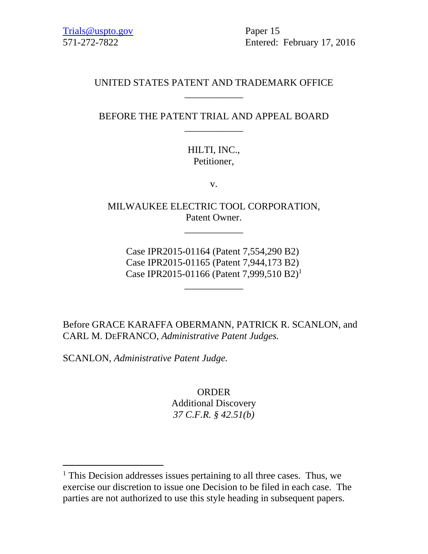571-272-7822 Entered: February 17, 2016

# UNITED STATES PATENT AND TRADEMARK OFFICE \_\_\_\_\_\_\_\_\_\_\_\_

# BEFORE THE PATENT TRIAL AND APPEAL BOARD \_\_\_\_\_\_\_\_\_\_\_\_

# HILTI, INC., Petitioner,

v.

MILWAUKEE ELECTRIC TOOL CORPORATION, Patent Owner.

\_\_\_\_\_\_\_\_\_\_\_\_

Case IPR2015-01164 (Patent 7,554,290 B2) Case IPR2015-01165 (Patent 7,944,173 B2) Case IPR2015-01166 (Patent 7,999,510 B2)1

\_\_\_\_\_\_\_\_\_\_\_\_

Before GRACE KARAFFA OBERMANN, PATRICK R. SCANLON, and CARL M. DEFRANCO, *Administrative Patent Judges.* 

SCANLON, *Administrative Patent Judge.* 

 $\overline{a}$ 

ORDER Additional Discovery *37 C.F.R. § 42.51(b)*

<sup>&</sup>lt;sup>1</sup> This Decision addresses issues pertaining to all three cases. Thus, we exercise our discretion to issue one Decision to be filed in each case. The parties are not authorized to use this style heading in subsequent papers.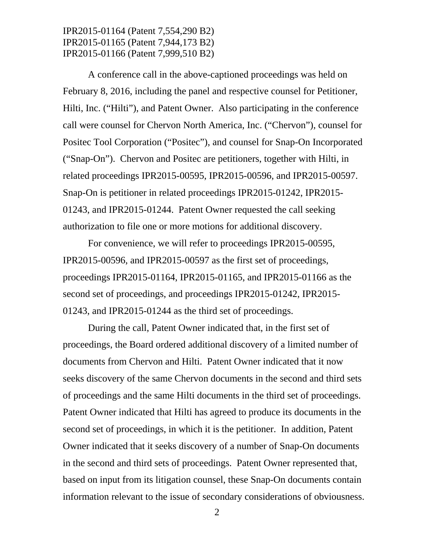A conference call in the above-captioned proceedings was held on February 8, 2016, including the panel and respective counsel for Petitioner, Hilti, Inc. ("Hilti"), and Patent Owner. Also participating in the conference call were counsel for Chervon North America, Inc. ("Chervon"), counsel for Positec Tool Corporation ("Positec"), and counsel for Snap-On Incorporated ("Snap-On"). Chervon and Positec are petitioners, together with Hilti, in related proceedings IPR2015-00595, IPR2015-00596, and IPR2015-00597. Snap-On is petitioner in related proceedings IPR2015-01242, IPR2015- 01243, and IPR2015-01244. Patent Owner requested the call seeking authorization to file one or more motions for additional discovery.

For convenience, we will refer to proceedings IPR2015-00595, IPR2015-00596, and IPR2015-00597 as the first set of proceedings, proceedings IPR2015-01164, IPR2015-01165, and IPR2015-01166 as the second set of proceedings, and proceedings IPR2015-01242, IPR2015- 01243, and IPR2015-01244 as the third set of proceedings.

During the call, Patent Owner indicated that, in the first set of proceedings, the Board ordered additional discovery of a limited number of documents from Chervon and Hilti. Patent Owner indicated that it now seeks discovery of the same Chervon documents in the second and third sets of proceedings and the same Hilti documents in the third set of proceedings. Patent Owner indicated that Hilti has agreed to produce its documents in the second set of proceedings, in which it is the petitioner. In addition, Patent Owner indicated that it seeks discovery of a number of Snap-On documents in the second and third sets of proceedings. Patent Owner represented that, based on input from its litigation counsel, these Snap-On documents contain information relevant to the issue of secondary considerations of obviousness.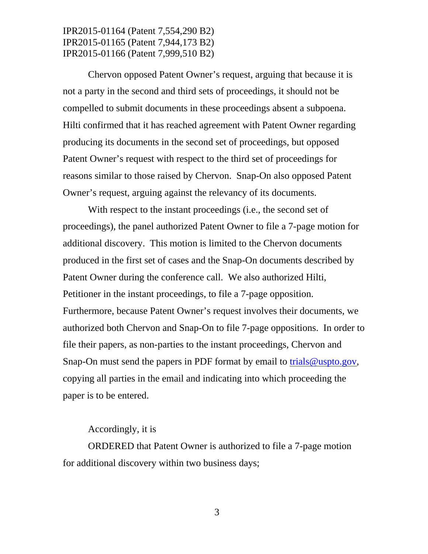Chervon opposed Patent Owner's request, arguing that because it is not a party in the second and third sets of proceedings, it should not be compelled to submit documents in these proceedings absent a subpoena. Hilti confirmed that it has reached agreement with Patent Owner regarding producing its documents in the second set of proceedings, but opposed Patent Owner's request with respect to the third set of proceedings for reasons similar to those raised by Chervon. Snap-On also opposed Patent Owner's request, arguing against the relevancy of its documents.

With respect to the instant proceedings (i.e., the second set of proceedings), the panel authorized Patent Owner to file a 7-page motion for additional discovery. This motion is limited to the Chervon documents produced in the first set of cases and the Snap-On documents described by Patent Owner during the conference call. We also authorized Hilti, Petitioner in the instant proceedings, to file a 7-page opposition. Furthermore, because Patent Owner's request involves their documents, we authorized both Chervon and Snap-On to file 7-page oppositions. In order to file their papers, as non-parties to the instant proceedings, Chervon and Snap-On must send the papers in PDF format by email to trials@uspto.gov, copying all parties in the email and indicating into which proceeding the paper is to be entered.

#### Accordingly, it is

ORDERED that Patent Owner is authorized to file a 7-page motion for additional discovery within two business days;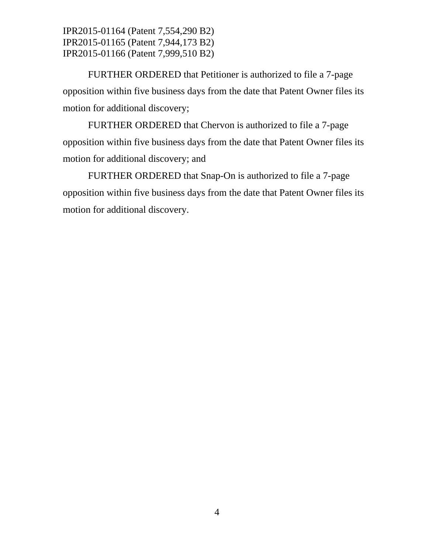FURTHER ORDERED that Petitioner is authorized to file a 7-page opposition within five business days from the date that Patent Owner files its motion for additional discovery;

FURTHER ORDERED that Chervon is authorized to file a 7-page opposition within five business days from the date that Patent Owner files its motion for additional discovery; and

FURTHER ORDERED that Snap-On is authorized to file a 7-page opposition within five business days from the date that Patent Owner files its motion for additional discovery.